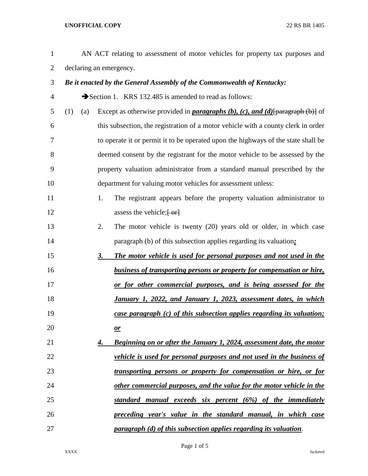## **UNOFFICIAL COPY** 22 RS BR 1405

| $\mathbf{1}$   |     |     |    | AN ACT relating to assessment of motor vehicles for property tax purposes and          |
|----------------|-----|-----|----|----------------------------------------------------------------------------------------|
| $\overline{2}$ |     |     |    | declaring an emergency.                                                                |
| 3              |     |     |    | Be it enacted by the General Assembly of the Commonwealth of Kentucky:                 |
| 4              |     |     |    | Section 1. KRS 132.485 is amended to read as follows:                                  |
| 5              | (1) | (a) |    | Except as otherwise provided in <b>paragraphs</b> (b), (c), and (d) [paragraph (b)] of |
| 6              |     |     |    | this subsection, the registration of a motor vehicle with a county clerk in order      |
| 7              |     |     |    | to operate it or permit it to be operated upon the highways of the state shall be      |
| 8              |     |     |    | deemed consent by the registrant for the motor vehicle to be assessed by the           |
| 9              |     |     |    | property valuation administrator from a standard manual prescribed by the              |
| 10             |     |     |    | department for valuing motor vehicles for assessment unless:                           |
| 11             |     |     | 1. | The registrant appears before the property valuation administrator to                  |
| 12             |     |     |    | assess the vehicle; $\left\{ -\text{or} \right\}$                                      |
| 13             |     |     | 2. | The motor vehicle is twenty (20) years old or older, in which case                     |
| 14             |     |     |    | paragraph (b) of this subsection applies regarding its valuation.                      |
| 15             |     |     | 3. | The motor vehicle is used for personal purposes and not used in the                    |
| 16             |     |     |    | <b>business of transporting persons or property for compensation or hire,</b>          |
| 17             |     |     |    | <u>or for other commercial purposes, and is being assessed for the</u>                 |
| 18             |     |     |    | January 1, 2022, and January 1, 2023, assessment dates, in which                       |
| 19             |     |     |    | case paragraph (c) of this subsection applies regarding its valuation;                 |
| 20             |     |     |    | $\mathbf{\underline{\mathit{or}}}$                                                     |
| 21             |     |     | 4. | <b>Beginning on or after the January 1, 2024, assessment date, the motor</b>           |
| 22             |     |     |    | vehicle is used for personal purposes and not used in the business of                  |
| 23             |     |     |    | transporting persons or property for compensation or hire, or for                      |
| 24             |     |     |    | other commercial purposes, and the value for the motor vehicle in the                  |
| 25             |     |     |    | standard manual exceeds six percent (6%) of the immediately                            |
| 26             |     |     |    | preceding year's value in the standard manual, in which case                           |
| 27             |     |     |    | paragraph (d) of this subsection applies regarding its valuation.                      |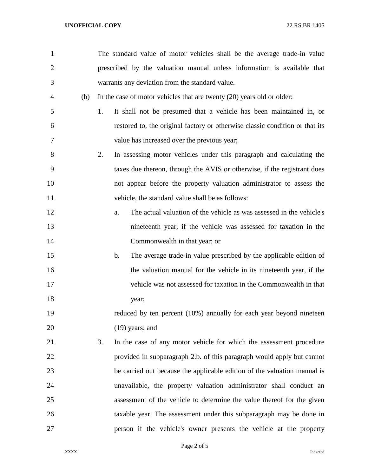| 1              |     |    | The standard value of motor vehicles shall be the average trade-in value            |
|----------------|-----|----|-------------------------------------------------------------------------------------|
| $\overline{2}$ |     |    | prescribed by the valuation manual unless information is available that             |
| 3              |     |    | warrants any deviation from the standard value.                                     |
| 4              | (b) |    | In the case of motor vehicles that are twenty $(20)$ years old or older:            |
| 5              |     | 1. | It shall not be presumed that a vehicle has been maintained in, or                  |
| 6              |     |    | restored to, the original factory or otherwise classic condition or that its        |
| 7              |     |    | value has increased over the previous year;                                         |
| 8              |     | 2. | In assessing motor vehicles under this paragraph and calculating the                |
| 9              |     |    | taxes due thereon, through the AVIS or otherwise, if the registrant does            |
| 10             |     |    | not appear before the property valuation administrator to assess the                |
| 11             |     |    | vehicle, the standard value shall be as follows:                                    |
| 12             |     |    | The actual valuation of the vehicle as was assessed in the vehicle's<br>a.          |
| 13             |     |    | nineteenth year, if the vehicle was assessed for taxation in the                    |
| 14             |     |    | Commonwealth in that year; or                                                       |
| 15             |     |    | The average trade-in value prescribed by the applicable edition of<br>$\mathbf b$ . |
| 16             |     |    | the valuation manual for the vehicle in its nineteenth year, if the                 |
| 17             |     |    | vehicle was not assessed for taxation in the Commonwealth in that                   |
| 18             |     |    | year;                                                                               |
| 19             |     |    | reduced by ten percent (10%) annually for each year beyond nineteen                 |
| 20             |     |    | $(19)$ years; and                                                                   |
| 21             |     | 3. | In the case of any motor vehicle for which the assessment procedure                 |
| 22             |     |    | provided in subparagraph 2.b. of this paragraph would apply but cannot              |
| 23             |     |    | be carried out because the applicable edition of the valuation manual is            |
| 24             |     |    | unavailable, the property valuation administrator shall conduct an                  |
| 25             |     |    | assessment of the vehicle to determine the value thereof for the given              |
| 26             |     |    | taxable year. The assessment under this subparagraph may be done in                 |
| 27             |     |    | person if the vehicle's owner presents the vehicle at the property                  |

Page 2 of 5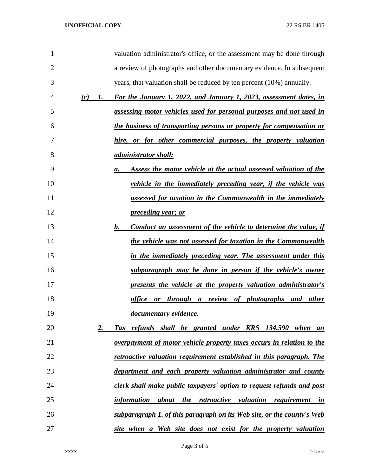| $\mathbf{1}$   |           | valuation administrator's office, or the assessment may be done through             |
|----------------|-----------|-------------------------------------------------------------------------------------|
| $\overline{2}$ |           | a review of photographs and other documentary evidence. In subsequent               |
| 3              |           | years, that valuation shall be reduced by ten percent (10%) annually.               |
| 4              | (c)<br>1. | For the January 1, 2022, and January 1, 2023, assessment dates, in                  |
| 5              |           | assessing motor vehicles used for personal purposes and not used in                 |
| 6              |           | the business of transporting persons or property for compensation or                |
| 7              |           | hire, or for other commercial purposes, the property valuation                      |
| 8              |           | <u>administrator shall:</u>                                                         |
| 9              |           | Assess the motor vehicle at the actual assessed valuation of the<br>a.              |
| 10             |           | vehicle in the immediately preceding year, if the vehicle was                       |
| 11             |           | assessed for taxation in the Commonwealth in the immediately                        |
| 12             |           | <u>preceding year; or</u>                                                           |
| 13             |           | <u>b.</u><br><b>Conduct an assessment of the vehicle to determine the value, if</b> |
| 14             |           | the vehicle was not assessed for taxation in the Commonwealth                       |
| 15             |           | in the immediately preceding year. The assessment under this                        |
| 16             |           | subparagraph may be done in person if the vehicle's owner                           |
| 17             |           | presents the vehicle at the property valuation administrator's                      |
| 18             |           | <u>office or through a review of photographs and other</u>                          |
| 19             |           | documentary evidence.                                                               |
| 20             | 2.        | Tax refunds shall be granted under KRS 134.590 when an                              |
| 21             |           | overpayment of motor vehicle property taxes occurs in relation to the               |
| 22             |           | retroactive valuation requirement established in this paragraph. The                |
| 23             |           | department and each property valuation administrator and county                     |
| 24             |           | clerk shall make public taxpayers' option to request refunds and post               |
| 25             |           | information about the retroactive valuation requirement in                          |
| 26             |           | subparagraph 1. of this paragraph on its Web site, or the county's Web              |
| 27             |           | site when a Web site does not exist for the property valuation                      |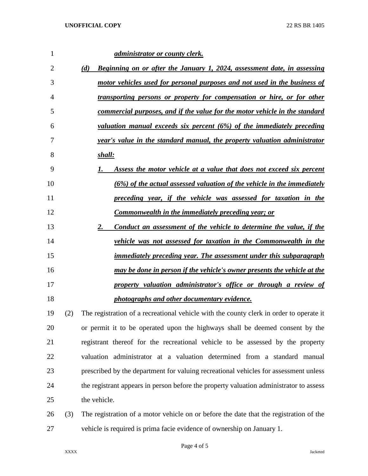| 1  |     | <u>administrator or county clerk.</u>                                                   |
|----|-----|-----------------------------------------------------------------------------------------|
| 2  |     | Beginning on or after the January 1, 2024, assessment date, in assessing<br>(d)         |
| 3  |     | motor vehicles used for personal purposes and not used in the business of               |
| 4  |     | <u>transporting persons or property for compensation or hire, or for other</u>          |
| 5  |     | <u>commercial purposes, and if the value for the motor vehicle in the standard</u>      |
| 6  |     | valuation manual exceeds six percent (6%) of the immediately preceding                  |
| 7  |     | year's value in the standard manual, the property valuation administrator               |
| 8  |     | shall:                                                                                  |
| 9  |     | Assess the motor vehicle at a value that does not exceed six percent                    |
| 10 |     | (6%) of the actual assessed valuation of the vehicle in the immediately                 |
| 11 |     | preceding year, if the vehicle was assessed for taxation in the                         |
| 12 |     | <b>Commonwealth in the immediately preceding year; or</b>                               |
| 13 |     | 2.<br><b>Conduct an assessment of the vehicle to determine the value, if the</b>        |
| 14 |     | vehicle was not assessed for taxation in the Commonwealth in the                        |
| 15 |     | <u>immediately preceding year. The assessment under this subparagraph</u>               |
| 16 |     | may be done in person if the vehicle's owner presents the vehicle at the                |
| 17 |     | property valuation administrator's office or through a review of                        |
| 18 |     | photographs and other documentary evidence.                                             |
| 19 | (2) | The registration of a recreational vehicle with the county clerk in order to operate it |
| 20 |     | or permit it to be operated upon the highways shall be deemed consent by the            |
| 21 |     | registrant thereof for the recreational vehicle to be assessed by the property          |
| 22 |     | valuation administrator at a valuation determined from a standard manual                |
| 23 |     | prescribed by the department for valuing recreational vehicles for assessment unless    |
| 24 |     | the registrant appears in person before the property valuation administrator to assess  |
|    |     |                                                                                         |

25 the vehicle.

 (3) The registration of a motor vehicle on or before the date that the registration of the vehicle is required is prima facie evidence of ownership on January 1.